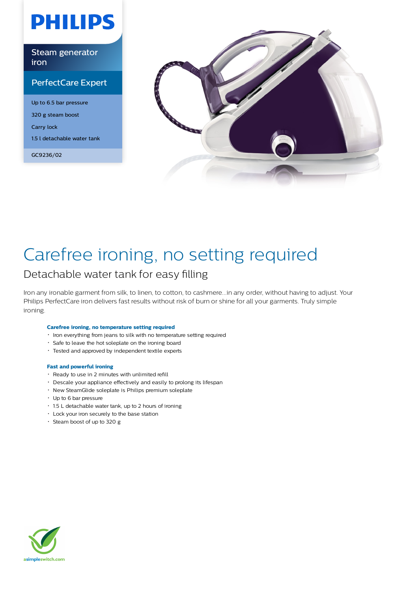# **PHILIPS**

Steam generator iron

### PerfectCare Expert

Up to 6.5 bar pressure 320 g steam boost Carry lock 1.5 l detachable water tank

GC9236/02



# Carefree ironing, no setting required

### Detachable water tank for easy filling

Iron any ironable garment from silk, to linen, to cotton, to cashmere...in any order, without having to adjust. Your Philips PerfectCare iron delivers fast results without risk of burn or shine for all your garments. Truly simple ironing.

#### **Carefree ironing, no temperature setting required**

- $\cdot$  Iron everything from jeans to silk with no temperature setting required
- Safe to leave the hot soleplate on the ironing board
- Tested and approved by independent textile experts

#### **Fast and powerful ironing**

- Ready to use in 2 minutes with unlimited refill
- Descale your appliance effectively and easily to prolong its lifespan
- New SteamGlide soleplate is Philips premium soleplate
- Up to 6 bar pressure
- 1.5 L detachable water tank, up to 2 hours of ironing
- Lock your iron securely to the base station
- Steam boost of up to 320 g

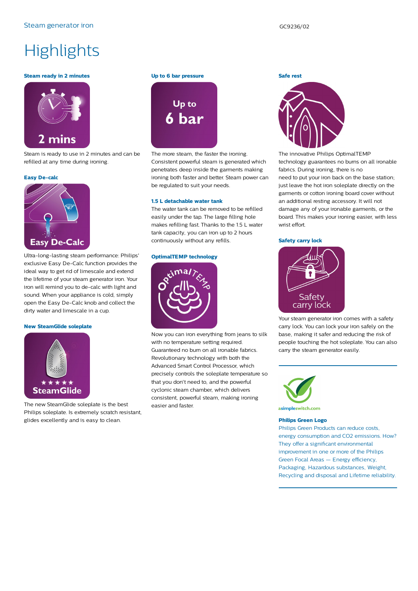# **Highlights**

#### **Steam ready in 2 minutes**



Steam is ready to use in 2 minutes and can be refilled at any time during ironing.

#### **Easy De-calc**



Ultra-long-lasting steam performance: Philips' exclusive Easy De-Calc function provides the ideal way to get rid of limescale and extend the lifetime of your steam generator iron. Your iron will remind you to de-calc with light and sound. When your appliance is cold, simply open the Easy De-Calc knob and collect the dirty water and limescale in a cup.

#### **New SteamGlide soleplate**



The new SteamGlide soleplate is the best Philips soleplate. Is extremely scratch resistant, glides excellently and is easy to clean.

#### **Up to 6 bar pressure**



The more steam, the faster the ironing. Consistent powerful steam is generated which penetrates deep inside the garments making ironing both faster and better. Steam power can be regulated to suit your needs.

#### **1.5 L detachable water tank**

The water tank can be removed to be refilled easily under the tap. The large filling hole makes refilling fast. Thanks to the 1.5 L water tank capacity, you can iron up to 2 hours continuously without any refills.

#### **OptimalTEMP technology**



Now you can iron everything from jeans to silk with no temperature setting required. Guaranteed no burn on all ironable fabrics. Revolutionary technology with both the Advanced Smart Control Processor, which precisely controls the soleplate temperature so that you don't need to, and the powerful cyclonic steam chamber, which delivers consistent, powerful steam, making ironing easier and faster.

### **Safe rest**



The innovative Philips OptimalTEMP technology guarantees no burns on all ironable fabrics. During ironing, there is no need to put your iron back on the base station; just leave the hot iron soleplate directly on the garments or cotton ironing board cover without an additional resting accessory. It will not damage any of your ironable garments, or the board. This makes your ironing easier, with less wrist effort.

#### **Safety carry lock**



Your steam generator iron comes with a safety carry lock. You can lock your iron safely on the base, making it safer and reducing the risk of people touching the hot soleplate. You can also carry the steam generator easily.



asimpleswitch.com

#### **Philips Green Logo**

Philips Green Products can reduce costs, energy consumption and CO2 emissions. How? They offer a significant environmental improvement in one or more of the Philips Green Focal Areas — Energy efficiency, Packaging, Hazardous substances, Weight, Recycling and disposal and Lifetime reliability.